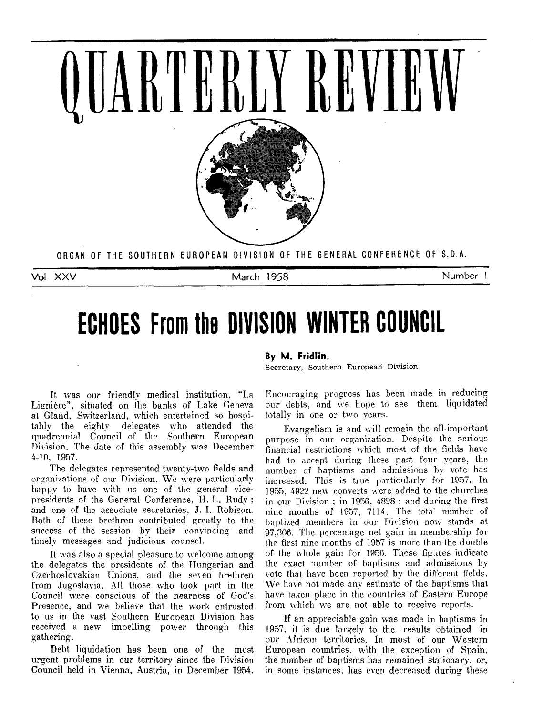

# **ECHOES From the DIVISION WINTER COUNCIL**

## **By M. Fridlin,**

Secretary, Southern European Division

It was our friendly medical institution, "La Ligniere", situated on the banks of Lake Geneva at Gland, Switzerland, which entertained so hospitably the eighty delegates who attended the quadrennial Council of the Southern European Division. The date of this assembly was December 4-10, 1957.

The delegates represented twenty-two fields and organizations of our Division. We were particularly happy to have with us one of the general vicepresidents of the General Conference, H. L. Rudy ; and one of the associate secretaries, J. I. Robison. Both of these brethren contributed greatly to the success of the session by their convincing and timely messages and judicious counsel.

It was also a special pleasure to welcome among the delegates the presidents of the Hungarian and Czechoslovakian Unions, and the seven brethren from Jugoslavia. All those who took part in the Council were conscious of the nearness of God's Presence, and we believe that the work entrusted to us in the vast Southern European Division has received a new impelling power through this gathering.

Debt liquidation has been one of the most urgent problems in our territory since the Division Council held in Vienna, Austria, in December 1954.

Encouraging progress has been made in reducing our debts, and we hope to see them liquidated totally in one or two years.

Evangelism is and will remain the all-important purpose in our organization. Despite the serious financial restrictions which most of the fields have had to accept during these past four years, the number of baptisms and admissions by vote has increased. This is true particularly for 1957. In 1955, 4922 new converts were added to the churches in our Division ; in 1956, 4828 ; and during the first nine months of 1957, 7114. The total number of baptized members in our Division now stands at 97,306. The percentage net gain in membership for the first nine months of 1957 is more than the double of the whole gain for 1956. These figures indicate the exact number of baptisms and admissions by vote that have been reported by the different fields. We have not made any estimate of the baptisms that have taken place in the countries of Eastern Europe from which we are not able to receive reports.

If an appreciable gain was made in baptisms in 1957, it is due largely to the results obtained in our African territories. In most of our Western European countries, with the exception of Spain, the number of baptisms has remained stationary, or, in some instances, has even decreased during these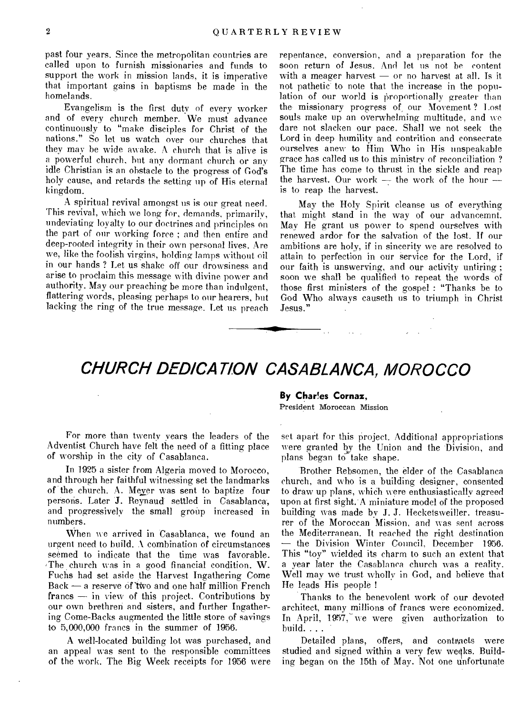past four years. Since the metropolitan countries are called upon to furnish missionaries and funds to support the work in mission lands, it is imperative that important gains in baptisms be made in the homelands.

Evangelism is the first duty of every worker and of every church member. We must advance continuously to "make disciples for Christ of the nations." So let us watch over our churches that they may be wide awake. A church that is alive is a powerful church, but any dormant church or any idle Christian is an obstacle to the progress of God's holy cause, and retards the setting up of His eternal kingdom.

A spiritual revival amongst us is our great need. This revival, which we long for, demands, primarily, undeviating loyalty to our doctrines and principles on the part of our working force ; and then entire and deep-rooted integrity in their own personal lives. Are we, like the foolish virgins, holding lamps without oil in our hands ? Let us shake off our drowsiness and arise to proclaim this message with divine power and authority. May our preaching be more than indulgent, flattering words, pleasing perhaps to our hearers, but lacking the ring of the true message. Let us preach repentance, conversion, and a preparation for the soon return of Jesus. And let us not be content with a meager harvest — or no harvest at all. Is it not pathetic to note that the increase in the population of our world is proportionally greater than the missionary progress of, our Movement ? Lost souls make up an overwhelming multitude, and we dare not slacken our pace. Shall we not seek the Lord in deep humility and contrition and consecrate ourselves anew to Him Who in His unspeakable grace has called us to this ministry of reconciliation ? The time has come to thrust in the sickle and reap the harvest. Our work — the work of the hour is to reap the harvest.

May the Holy Spirit cleanse us of everything that might stand in the way of our advancemnt. May He grant us power to spend ourselves with renewed ardor for the salvation of the lost. If our ambitions are holy, if in sincerity we are resolved to attain to perfection in our service for the Lord, if our faith is unswerving, and our activity untiring ; soon we shall be qualified to repeat the words of those first ministers of the gospel : "Thanks be to God Who always causeth us to triumph in Christ Jesus."

## **CHURCH DEDICATION CASABLANCA, MOROCCO**

For more than twenty years the leaders of the Adventist Church have felt the need of a fitting place of worship in the city of Casablanca.

In 1925 a sister from Algeria moved to Morocco, and through her faithful witnessing set the landmarks of the church. A. Meyer was sent to baptize four persons. Later J. Reynaud settled in Casablanca, and progressively the small group increased in numbers.

When we arrived in Casablanca, we found an urgent need to build. A combination of circumstances seemed to indicate that the time was favorable. The church was in a good financial condition. W. Fuchs had set aside the Harvest Ingathering Come Back — a reserve of two and one half million French francs — in view of this project. Contributions by our own brethren and sisters, and further Ingathering Come-Backs augmented the little store of savings to 5,000,000 francs in the summer of 1956.

A well-located building lot was purchased, and an appeal was sent to the responsible committees of the work. The Big Week receipts for 1956 were

## **By Char!es Cornaz,**

÷.,

 $\Delta$  and  $\Delta$ 

President Moroccan Mission

set apart for this project. Additional appropriations were granted by the Union and the Division, and plans began to take shape.

Brother Rebsomen, the elder of the Casablanca church, and who is a building designer, consented to draw up plans, which were enthusiastically agreed upon at first sight. A miniature model of the proposed building was made by J. J. Hecketsweiller. treasurer of the Moroccan Mission, and was sent across the Mediterranean. It reached the right destination — the Division Winter Council, December 1956. This "toy" wielded its charm to such an extent that a year later the Casablanca church was a reality. Well may we trust wholly in God, and believe that He leads His people !

Thanks to the benevolent work of our devoted architect, many millions of francs were economized. In April, 1957, we were given authorization to build. . . .

Detailed plans, offers, and contnacts were studied and signed within a very few weeks. Building began on the 15th of May. Not one unfortunate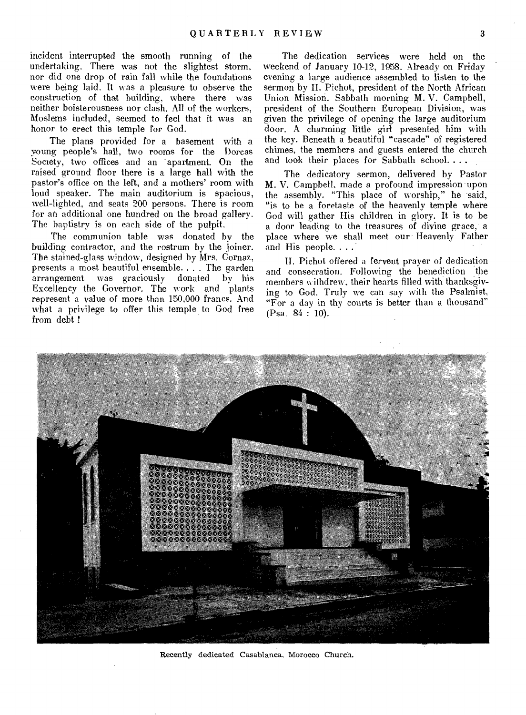incident interrupted the smooth running of the undertaking. There was not the slightest storm, nor did one drop of rain fall while the foundations were being laid. It was a pleasure to observe the construction of that building, where there was neither boisterousness nor clash. All of the workers, Moslems included, seemed to feel that it was an honor to erect this temple for God.

The plans provided for a basement with a young people's hail, two rooms for the Dorcas Society, two offices and an 'apartment. On the raised ground floor there is a large hall with the pastor's office on the left, and a mothers' room with loud speaker. The main auditorium is spacious, well-lighted, and seats 200 persons. There is room for an additional one hundred on the broad gallery. The baptistry is on each side of the pulpit.

The communion table was donated by the building contractor, and the rostrum by the joiner. The stained-glass window, designed by Mrs. Cornaz, presents a most beautiful ensemble.... The garden arrangement was graciously donated by his Excellency the Governor. The work and plants represent a value of more than 150,000 francs. And what a privilege to offer this temple to God free from debt !

The dedication services were held on the weekend of January 10-12, 1958. Already on Friday evening a large audience assembled to listen to the sermon by H. Pichot, president of the North African Union Mission. Sabbath morning M. V. Campbell, president of the Southern European Division, was given the privilege of opening the large auditorium door. A charming little girl presented him with the key. Beneath a beautiful "cascade" of registered chimes, the members and guests entered the church and took their places for Sabbath school. . . .

The dedicatory sermon, delivered by Pastor M. V. Campbell, made a profound impression upon the assembly. "This place of worship," he said, "is to be a foretaste of the heavenly temple where God will gather His children in glory. It is to be a door leading to the treasures of divine grace, a place where we shall meet our Heavenly Father and His people. . . .

H. Pichot offered a fervent prayer of dedication and consecration. Following the benediction the members withdrew, their hearts filled with thanksgiving to God. Truly we can say with the Psalmist, "For a day in thy courts is better than a thousand" (Psa, 84 : 10).



Recently dedicated Casablanca, Morocco Church.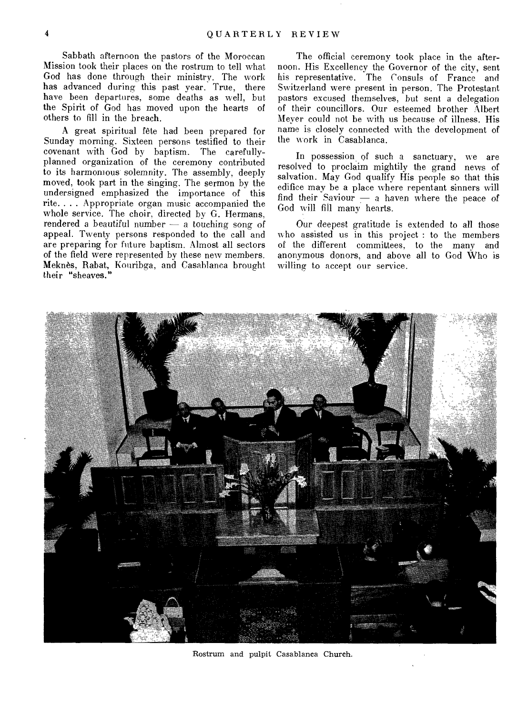Sabbath afternoon the pastors of the Moroccan Mission took their places on the rostrum to tell what God has done through their ministry. The work has advanced during this past year. True, there have been departures, some deaths as well, but the Spirit of God has moved upon the hearts of others to fill in the breach.

A great spiritual fete had been prepared for Sunday morning. Sixteen persons testified to their covenant with God by baptism. The carefullyplanned organization of the ceremony contributed to its harmonious solemnity. The assembly, deeply moved, took part in the singing, The sermon by the undersigned emphasized the importance of this rite. . . . Appropriate organ music accompanied the whole service. The choir, directed by G. Hermans, rendered a beautiful number — a touching song of appeal. Twenty persons responded to the call and are preparing for future baptism. Almost all sectors of the field were represented by these new members. Meknes, Rabat, Kouribga, and Casablanca brought their "sheaves."

The official ceremony took place in the afternoon. His Excellency the Governor of the city, sent his representative. The Consuls of France and Switzerland were present in person. The Protestant pastors excused themselves, but sent a delegation of their councillors. Our esteemed brother Albert Meyer could not be with us because of illness. His name is closely connected with the development of the work in Casablanca.

In possession of such a sanctuary, we are resolved to proclaim mightily the grand news of salvation. May God qualify His people so that this edifice may be a place where repentant sinners will find their Saviour — a haven where the peace of God will fill many hearts.

Our deepest gratitude is extended to all those who assisted us in this project : to the members of the different committees, to the many and anonymous donors, and above all to God Who is willing to accept our service.



Rostrum and pulpit Casablanca Church.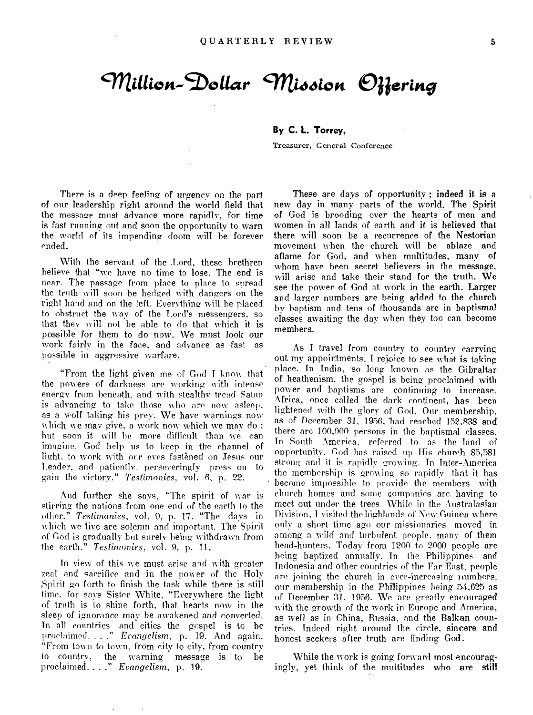## **By C. L. Torrey,**

Treasurer, General Conference

There is a deep feeling of urgency on the part of our leadership right around the world field that the message must advance more rapidly, for time is fast running out and soon the opportunity to warn the world of its impending doom will be forever ended.

With the servant of the .Lord, these brethren believe that "we have no time to lose. The .end is near. The passage from place to place to spread the truth will soon be hedged with dangers on the right hand and on the left. Everything will he placed to obstruct the way of the Lord's messengers, so that they will not be able to do that which it is possible for them to do now. We must look our work fairly in the face, and advance as fast as possible in aggressive warfare.

"From the light given me of God I know that the powers of darkness are working with intense energy from beneath, and with stealthy tread Satan is advancing to take those who are now asleep. as a wolf taking his prey. We have warnings now w hich we may give, a work now which we may do ; but soon it will be more difficult than we can imagine. God help us to keep in the channel of light, to work with our eves fastened on Jesus our Leader, and patiently. perseveringly press on to gain the victory." *Testimonies,* vol. 6, p. 22.

And further she says, "The spirit of war is stirring the nations from one end of the earth to the other." *Testimonies,* vol. 0, p. 17. "The days in which we live are solemn and important. The Spirit of God is gradually but surely being withdrawn from the earth." *Testimonies,* vol. 9, p. 11.

In view of this we must arise and with greater 'zeal and sacrifice and in the power of the Holy Spirit go forth to finish the task while there is still time, for says Sister White, "Everywhere the light of truth is lo shine forth, that hearts now in the sleep of ignorance may be awakened and converted. In all countries and cities the gospel is to be proclaimed. • ." *Evangelism,* p. 19. And again. "From town to town, from city to city, from country to country, the warning message is to be proclaimed. . . . " *Evangelism*, p. 19.

These are days of opportunity; indeed it is a new day in many parts of the world. The Spirit of God is brooding over the hearts of men and women in all lands of earth and it is believed that there will soon be a recurrence of the Nestorian movement when the church will be ablaze and aflame for God, and when multitudes, many of whom have been secret believers in the message, will arise and take their stand for the truth. We see the power of God at work in the earth. Larger and larger numbers are being added to the church by baptism and tens of thousands are in baptismal classes awaiting the day when they too can become members..

As I travel from country to country carrying out my appointments, I rejoice to see what is taking place. In India, so long known as the Gibraltar of heathenism, the gospel is being proclaimed with power and baptisms are continuing to increase. Africa, once called the dark continent, has been lightened with the glory of God. Our membership, as of December 31, 1956, had reached 152.838 and there are 100,000 persons in the baptismal classes. In South America, referred to as the land of opportunity, God has raised up His church 85,581 strong and it is rapidly growing. In Inter-America the membership is grow ing so rapidly that it has become impossible to provide the members with church homes and some companies are having to meet out under the trees. While in the Australasian Division, I visited the highlands of New Guinea where only a short time ago our missionaries moved in among a wild and turbulent people. many of them head-hunters. Today from 1200 to 2000 people are being baptized annually. In the Philippines and Indonesia and other countries of the Far East, people are joining the church in ever-increasing numbers, our membership in the Philippines being 54,625 as of December 31, 1956. We are greatly encouraged with the growth of the work in Europe and America, as well as in China, Russia, and the Balkan countries. Indeed right around the circle, sincere and honest seekers after truth are finding God.

While the work is going forward most encouragingly, yet think of the multitudes who are still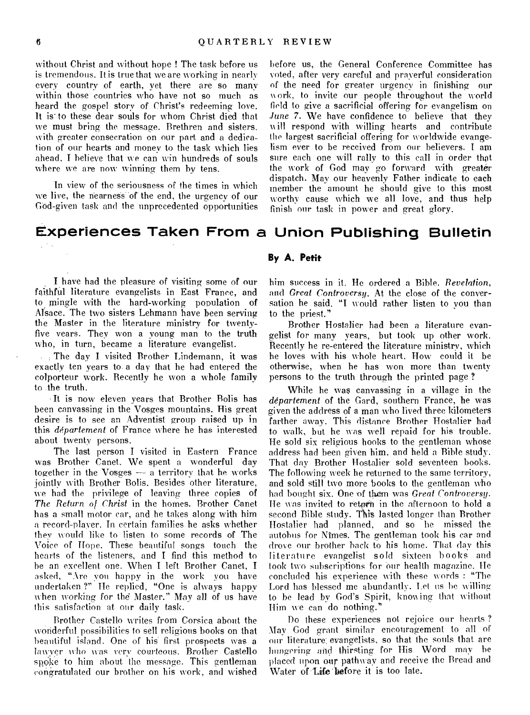without Christ and without hope ! The task before us is tremendous. It is true that we are working in nearly every country of earth, yet there are so many within those countries who have not so much as heard the gospel story of Christ's redeeming love. It is' to these dear souls for whom Christ died that we must bring the message. Brethren and sisters, with greater consecration on our part and a dedication of our hearts and money to the task which lies ahead, I believe that we can win hundreds of souls where we are now winning them by tens.

In view of the seriousness of the times in which we live, the nearness of the end, the urgency of our God-given task and the unprecedented opportunities before us, the General Conference Committee has voted, after very careful and prayerful consideration of the need for greater urgency in finishing our ork, to invite our people throughout the world field to give a sacrificial offering for evangelism on *June* 7. We have confidence to believe that they will respond with willing hearts and contribute the largest sacrificial offering for worldwide evangelism ever to be received from our believers. I am sure each one will rally to this call in order that the work of God may go forward with greater dispatch. May our heavenly Father indicate to each member the amount he should give to this most worthy cause which we all love, and thus help finish our task in power and great glory.

## **Experiences Taken From a Union Publishing Bulletin**

I.have had the pleasure of visiting some of our faithful literature evangelists in East France, and to.mingle with the hard-working population of Alsace. The two sisters Lehmann have been serving the Master in the literature ministry for twentyfive years. They won a young man to the truth who, in turn, became a literature evangelist.

The day I visited Brother Lindemann, it was exactly ten years to, a day that he had entered the calporteur work. Recently he won a whole family to .the truth.

• It is now eleven years that Brother Rolis has been canvassing in the Vosges mountains. His great desire is to see an Adventist group raised up in this *departement* of France where he has interested about twenty persons.

The last person I visited in Eastern France was Brother Canet. We spent a wonderful day together in the Vosges — a territory that he works jointly with Brother Bolis. Besides other literature, we had the privilege of leaving three copies of *The Return of Christ* in the homes. Brother Canet has a small motor car, and he takes along with him a record-player. In certain families he asks whether they would like to listen to some records of The Voice of Hope. These beautiful songs touch the hearts of the listeners, and I find this method to he an excellent one. When I left Brother Canet, I asked, "Are you happy in the work you have undertaken ?" He replied, "One is always happy when working for the Master." May all of us have this satisfaction at our daily task.

Brother Castello writes from Corsica about the wonderful possibilities to sell religious books on that beautiful island. One of his first prospects was a lawyer who was very courteous. Brother Castello spoke to him about the message. This gentleman congratulated our brother on his work, and wished

## **By A. Petit**

him success in it. He ordered a Bible. *Revelation,*  and *Great Controversy.* At the close of the conversation he said. "I would rather listen to vou than to the priest."

Brother Hostalier had been a literature evangelist for many years, but took up other work. Recently he re-entered the literature ministry, which he loves with his whole heart. How could it be otherwise, when he has won more than twenty persons to the truth through the printed page ?

While he was canvassing in a village in the *department* of the Gard, southern France, he was given the address of a man who lived three kilometers farther away. This distance Brother Hostalier had to walk, but he was well repaid for his trouble. He sold six religious hooks to the gentleman whose address had been given him, and held a Bible study. That day Brother Hostalier sold seventeen hooks. The following week he returned to the same territory, and sold still two more books to the gentleman who had bought six. One of them was *Great Controversy.*  He was invited to retarn in the afternoon to hold a second Bible study. This lasted longer than Brother Hostalier had planned, and so he missed the autobus for Nimes. The gentleman took his car and drove our brother hack to his home. That day this literature evangelist sold sixteen hooks and took two subscriptions for our health magazine. He concluded his experience with these words : "The Lord has blessed me abundantly. Let us be willing to he lead by God's Spirit, knowing\_ that without Him we can do nothing."

Do these experiences not rejoice our hearts ? May God grant similar encouragement to all of our literature: evangelists, so that the souls that are hungering and thirsting for His Word may he placed upon our pathway and receive the Bread and Water of Life before it is too late.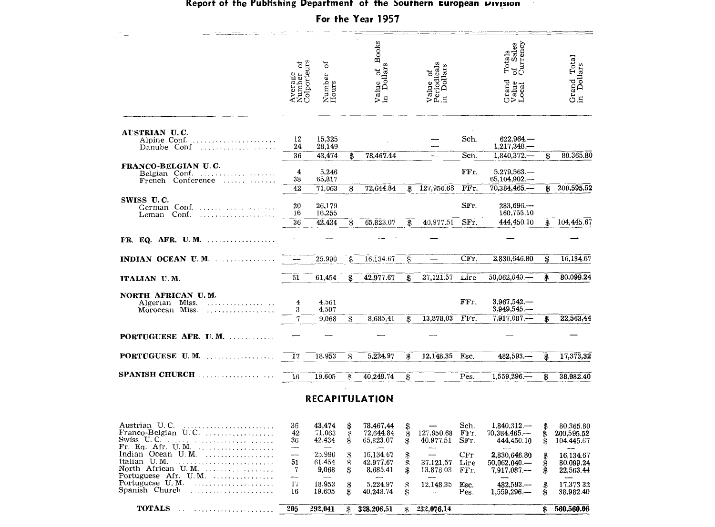#### **Report of the Publishing Department of the Southern European** *Princes*

**For the Year 1957** 

|                                                                                                                                                                                                                                                                                                                            | Average<br>Number of<br>Colporteurs        | 5<br>Number<br>Hours       |              | of Books<br>ិដ<br>ā<br>Value<br>in Do |               | Value of<br>Periodicals<br>in Dollars |                              | Totals<br>of Sales<br>Currency<br>ີ ຮ<br>Grand<br>Value<br>Local |                      | Grand Total<br>in Dollars             |
|----------------------------------------------------------------------------------------------------------------------------------------------------------------------------------------------------------------------------------------------------------------------------------------------------------------------------|--------------------------------------------|----------------------------|--------------|---------------------------------------|---------------|---------------------------------------|------------------------------|------------------------------------------------------------------|----------------------|---------------------------------------|
| AUSTRIAN U.C.<br>Alpine Conf.<br>Danube Conf $\dots\dots\dots\dots\dots$                                                                                                                                                                                                                                                   | 12<br>24                                   | 15,325<br>28,149           |              |                                       |               |                                       | Sch.                         | $622,964-$<br>$1,217,348-$                                       |                      |                                       |
| FRANCO-BELGIAN U.C.<br>Belgian Conf. $\dots$<br>French Conference<br>.                                                                                                                                                                                                                                                     | 36<br>4<br>38                              | 43,474<br>5,246<br>65,817  | \$           | 78,467.44                             |               |                                       | Sch.<br>FFr.                 | $1,840,372$ <sub>-</sub><br>$5.279.563-$<br>$65,104,902-$        | \$                   | 80,365,80                             |
| SWISS U.C.<br>German Conf.<br>$\mathcal{L}^{\mathcal{A}}\left( \mathcal{A}^{\mathcal{A}}\right) =\mathcal{L}^{\mathcal{A}}\left( \mathcal{A}^{\mathcal{A}}\right) =\mathcal{L}^{\mathcal{A}}\left( \mathcal{A}^{\mathcal{A}}\right) =\mathcal{L}^{\mathcal{A}}\left( \mathcal{A}^{\mathcal{A}}\right)$<br>Leman Conf.<br>. | 42<br>20<br>16                             | 71.063<br>26,179<br>16,255 | $\mathbf{3}$ | 72.644.84                             | \$.           | 127,950.68                            | FFr.<br>SFr.                 | 70,384,465.-<br>283,696. <del>---</del><br>160.755.10            | S                    | 200,595.52                            |
|                                                                                                                                                                                                                                                                                                                            | 36                                         | 42,434                     | \$           | 65,823.07                             | \$            | 40,977.51                             | SFr.                         | 444,450.10                                                       | Ж,                   | 104,445.67                            |
| INDIAN OCEAN U.M.                                                                                                                                                                                                                                                                                                          |                                            | 25,990                     | S            | 16,134.67                             | \$            |                                       | $CFr$ .                      | 2,830,646.80                                                     | \$                   | 16,134.67                             |
| ITALIAN U.M.                                                                                                                                                                                                                                                                                                               | 51                                         | 61,454                     | £            | 42.977.67                             | £             | 37,121.57                             | Lire                         | $50,062,040-$                                                    | \$                   | 80,099.24                             |
| NORTH AFRICAN U.M.<br>Algerian Miss.<br>Moroccan Miss.                                                                                                                                                                                                                                                                     | 4<br>3<br>7                                | 4.561<br>4,507<br>9,068    | \$           | 8,685,41                              | \$            | 13,878.03                             | FFr.<br>FFr.                 | $3,967,542-$<br>$3,949,545-$<br>7,917,087.                       | \$                   | 22,563,44                             |
| <b>PORTUGUESE AFR. U.M.</b>                                                                                                                                                                                                                                                                                                |                                            |                            |              |                                       |               |                                       |                              |                                                                  |                      |                                       |
| PORTUGUESE U.M.<br>$\mathcal{L}^{\mathcal{A}}(\mathcal{A}) = \mathcal{L}^{\mathcal{A}}(\mathcal{A}) = \mathcal{L}^{\mathcal{A}}(\mathcal{A}) = \mathcal{L}^{\mathcal{A}}(\mathcal{A}) = \mathcal{L}^{\mathcal{A}}(\mathcal{A})$                                                                                            | 17                                         | 18,953                     | \$           | 5,224,97                              | \$            | 12,148,35                             | Esc.                         | 482,593,-                                                        | \$                   | 17,373,32                             |
| $SPANISH$ CHURCH $\ldots \ldots \ldots$                                                                                                                                                                                                                                                                                    | 16                                         | 19.605                     | Я            | 40,248.74                             | \$            |                                       | Pes.                         | 1,559,296.                                                       | \$                   | 38,982.40                             |
|                                                                                                                                                                                                                                                                                                                            |                                            |                            |              | <b>RECAPITULATION</b>                 |               |                                       |                              |                                                                  |                      |                                       |
| Austrian U.C.<br>$\text{France}-\text{Belgian}$ U.C.<br>Swiss U.C. $\ldots \ldots \ldots \ldots \ldots \ldots$<br>$Fr. Eq. Afr. U.M.$                                                                                                                                                                                      | 36<br>42<br>36<br>$\overline{\phantom{a}}$ | 43,474<br>71.063<br>42.434 | 93 LB        | 78,467,44<br>72.644.84<br>65,823.07   | <b>99999</b>  | 127.950.68<br>40.977.51               | Sch.<br>FFr.<br>SFr.         | $1,840,312-$<br>$70,384,465,$ ---<br>444,450.10                  | 999999               | 80,365.80<br>200.595.52<br>104,445.67 |
| Indian Ocean U.M.<br>Italian U.M. $\ldots \ldots \ldots \ldots \ldots \ldots$<br>North African U.M.<br>Portuguese Afr. U.M. $\dots\dots\dots\dots$                                                                                                                                                                         | 51<br>$\overline{7}$                       | 25,990<br>61.454<br>9,068  | RB-<br>\$    | 16,134.67<br>42.977.67<br>8,685.41    | \$<br>ዳ<br>\$ | 37,121,57<br>13,878.03                | $_{\rm CFr}$<br>Lire<br>FFr. | 2,830,646.80<br>50,062,040<br>$7,917,087-$                       | 39.99. <del>98</del> | 16,134.67<br>80,099.24<br>22,563.44   |
| Portuguese U.M.<br>Spanish Church                                                                                                                                                                                                                                                                                          | 17<br>16                                   | 18,953<br>19.605           | \$           | 5,224.97<br>40,248.74                 | S<br>\$       | 12,148.35                             | Esc.<br>Pes.                 | $482,593-$<br>1,559,296                                          | \$                   | 17,373 32<br>38,982.40                |
| <b>TOTALS</b>                                                                                                                                                                                                                                                                                                              | 205                                        | 292,041                    | \$.          | 328,206,51                            | Ж,            | 232,076,14                            |                              |                                                                  | \$                   | 560,560.06                            |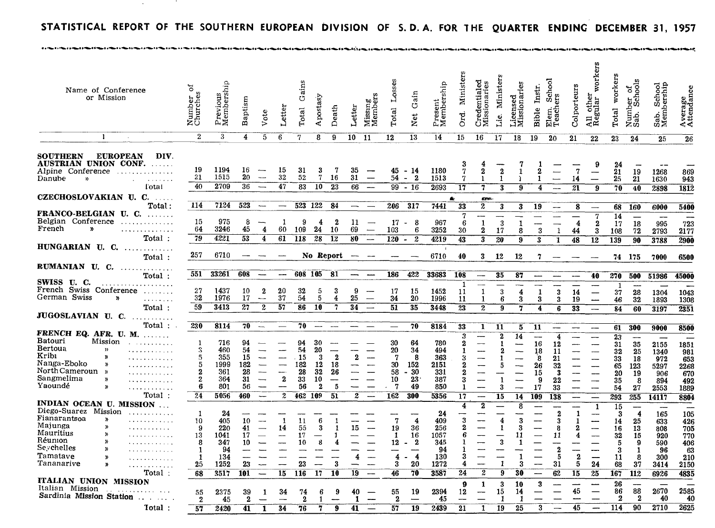$\sim 10^{-1}$ 

**Contract Contract** 

| Name of Conference<br>or Mission                                                                                                                                                                                                                                                                     | ัธ<br>Number<br>Churches                         | Previous<br>Membership                                       | Baptism                                        | Vote                                                                    | Letter                                   | Gains<br><b>Total</b>                          | Apostasy                                            | Death                                 | Letter                                          | Missing<br>Members<br>Missing | Losses<br>Total                             | Gain<br><b>Net</b>                                                                                             | Present<br>Membership                                        | Ministers<br>Ord.                                                         | entialed<br>Credentialed<br>Missionaries                                | Ministers<br>ن.<br>آ                                   | Licensed<br>Missionaries                                                               | Instr<br><b>Bible</b>                               | ā<br>Sch<br>Elem. Sch<br>Teachers                            | Colporteurs                                                 | workers<br>눕<br>All other<br>Regular                         | work<br>Total                                             | ber of<br>Schools<br>Numb<br>Sab. s                        | Sab. School<br>Membership                                                     | Average<br>Attendance                                                        |
|------------------------------------------------------------------------------------------------------------------------------------------------------------------------------------------------------------------------------------------------------------------------------------------------------|--------------------------------------------------|--------------------------------------------------------------|------------------------------------------------|-------------------------------------------------------------------------|------------------------------------------|------------------------------------------------|-----------------------------------------------------|---------------------------------------|-------------------------------------------------|-------------------------------|---------------------------------------------|----------------------------------------------------------------------------------------------------------------|--------------------------------------------------------------|---------------------------------------------------------------------------|-------------------------------------------------------------------------|--------------------------------------------------------|----------------------------------------------------------------------------------------|-----------------------------------------------------|--------------------------------------------------------------|-------------------------------------------------------------|--------------------------------------------------------------|-----------------------------------------------------------|------------------------------------------------------------|-------------------------------------------------------------------------------|------------------------------------------------------------------------------|
| -1                                                                                                                                                                                                                                                                                                   | $\boldsymbol{2}$                                 | 3                                                            | 4                                              | 5                                                                       | 6                                        | 7                                              | 8                                                   | 9                                     | 10 <sub>1</sub>                                 | - 11                          | 12                                          | 13                                                                                                             | 14                                                           | 15                                                                        | 16                                                                      | 17                                                     | 18                                                                                     | 19                                                  | 20                                                           | 21                                                          | 22                                                           | 23                                                        | 24                                                         | 25                                                                            | 26                                                                           |
| <b>EUROPEAN</b><br>DIV.<br><b>SOUTHERN</b><br>AUSTRIAN UNION CONF.<br>Alpine Conference<br>.<br>Danube<br>ν,<br>Fotal                                                                                                                                                                                | 19<br>21<br>40                                   | 1194<br>1515<br>2709                                         | 16<br>20<br>36                                 | $\overline{\phantom{a}}$<br>$\sim$                                      | 15<br>32<br>47                           | 31<br>52<br>83                                 | 3<br>7<br>10                                        | 7<br>16<br>23                         | 35<br>31<br>66                                  | $\overline{\phantom{0}}$      | 54 -<br>99                                  | $45 - 14$<br>- 2<br>$-16$                                                                                      | 1180<br>1513<br>2693                                         | 3<br>$\overline{7}$<br>7<br>17                                            | $\boldsymbol{2}$<br>÷,<br>7                                             | $\mathbf{2}$<br>1<br>3                                 | 1<br>9                                                                                 | 2<br>1<br>4                                         | —                                                            | 7<br>14<br>21                                               | 9<br>9                                                       | 24<br>21<br>25<br>70                                      | 19<br>21<br>40                                             | 1268<br>1630<br>2898                                                          | 869<br>943<br>1812                                                           |
| CZECHOSLOVAKIAN U. C.<br>$\alpha$ , $\alpha$ , $\alpha$                                                                                                                                                                                                                                              | 114                                              | 7124                                                         |                                                |                                                                         |                                          |                                                |                                                     |                                       |                                                 |                               |                                             |                                                                                                                |                                                              | $\Delta r$                                                                | dens.                                                                   |                                                        |                                                                                        |                                                     |                                                              |                                                             |                                                              |                                                           |                                                            |                                                                               |                                                                              |
| Total :<br>FRANCO-BELGIAN U.C.<br>$\ldots$<br>Belgian Conference<br>French<br>Y)<br>.<br>Total :                                                                                                                                                                                                     | 15<br>64<br>79                                   | 975<br>3246<br>4221                                          | 523<br>8<br>45<br>53                           | -----<br>4<br>4                                                         | 60<br>61                                 | 523 122<br>9<br>109<br>118                     | 4<br>24<br>$\overline{28}$                          | 84<br>$\boldsymbol{2}$<br>10<br>12    | $\overbrace{\phantom{aaaaa}}$<br>11<br>69<br>80 |                               | 206<br>17<br>103<br>120                     | 317<br>$-8$<br>6<br>$\overline{2}$<br>$\bullet$                                                                | 7441<br>967<br>3252<br>4219                                  | 33<br>6<br>30<br>43                                                       | 2<br>---<br>$\mathbf{1}$<br>$\boldsymbol{2}$<br>$\overline{\mathbf{3}}$ | 3<br>3<br>17<br>$\overline{20}$                        | 3<br>$\mathbf{1}$<br>8<br>9                                                            | 19<br>----<br>3<br>3                                | $\overline{\phantom{0}}$<br>$\mathbf{1}$<br>$\mathbf{I}$     | 8<br>4<br>44<br>48                                          | $\overline{\phantom{m}}$<br>7<br>$\boldsymbol{2}$<br>3<br>12 | 68<br>14<br>17<br>108<br>139                              | 160<br>$\overline{\phantom{0}}$<br>18<br>72<br>90          | 6000<br>995<br>2793<br>3788                                                   | 5400<br>$\overline{\phantom{0}}$<br>723<br>2177<br>2900                      |
| HUNGARIAN U. C.<br>$\cdots$<br>1.1.1.1.1.1.1.1                                                                                                                                                                                                                                                       |                                                  |                                                              |                                                |                                                                         |                                          |                                                |                                                     |                                       |                                                 |                               |                                             |                                                                                                                |                                                              |                                                                           |                                                                         |                                                        |                                                                                        |                                                     |                                                              |                                                             |                                                              |                                                           |                                                            |                                                                               |                                                                              |
| $\textcolor{blue}{\mathbf{Total}}$ :                                                                                                                                                                                                                                                                 | 257                                              | 6710                                                         |                                                |                                                                         |                                          |                                                |                                                     | No Report                             |                                                 |                               |                                             |                                                                                                                | 6710                                                         | 40                                                                        | 3                                                                       | 12                                                     | 12                                                                                     | 7                                                   |                                                              |                                                             |                                                              |                                                           | 74 175                                                     | 7000                                                                          | 6500                                                                         |
| RUMANIAN U.C.<br>Total:                                                                                                                                                                                                                                                                              | 551                                              | 33261                                                        | 608                                            |                                                                         |                                          | 608 105                                        |                                                     | 81                                    |                                                 |                               | 186                                         | 422                                                                                                            | 33683                                                        | <b>108</b>                                                                |                                                                         | 35                                                     | 87                                                                                     |                                                     |                                                              |                                                             |                                                              |                                                           |                                                            |                                                                               |                                                                              |
| SWISS U. C.<br>.<br>French Swiss<br>Conference<br>$\ldots \ldots \ldots$<br>German Swiss<br>'n<br>.                                                                                                                                                                                                  | 27<br>32<br>59                                   | 1437<br>1976<br>3413                                         | 10<br>17<br>$\overline{27}$                    | $\overline{\mathbf{2}}$<br>$\overline{\phantom{a}}$<br>$\boldsymbol{2}$ | 20<br>37<br>57                           | 32<br>54<br>86                                 | 5<br>5<br>10                                        | 3<br>4<br>7                           | 9<br>25<br>34                                   | $\overline{\phantom{0}}$      | 17<br>34<br>51                              | 15<br>20<br>35                                                                                                 | 1452<br>1996<br>3448                                         | 1<br>11<br>11                                                             | --<br>$\mathbf{1}$<br>$\mathbf{1}$                                      | 3<br>6                                                 | 4<br>$\bf{3}$                                                                          | 1<br>3                                              | 3<br>3                                                       | 14<br>19                                                    | 40<br>$\overline{\phantom{a}}$                               | 270<br>-1<br>37<br>46                                     | 500<br>28<br>32                                            | 51986<br>1304<br>1893                                                         | 45000<br>$\overline{\phantom{a}}$<br>1043<br>1308                            |
| $\mathtt{Total}$ :<br>JUGOSLAVIAN U. C.                                                                                                                                                                                                                                                              |                                                  |                                                              |                                                |                                                                         |                                          |                                                |                                                     |                                       |                                                 |                               |                                             |                                                                                                                |                                                              | $\overline{23}$                                                           | $\overline{2}$                                                          | $\overline{9}$                                         | 7                                                                                      | $\overline{4}$                                      | 6                                                            | 33                                                          |                                                              | 84                                                        | 60                                                         | 3197                                                                          | 2351                                                                         |
| .<br>Total :                                                                                                                                                                                                                                                                                         | 230                                              | 8114                                                         | 70                                             | $\overbrace{\rule{2.5cm}{0pt}}$                                         |                                          | 70                                             | $\overline{\phantom{a}}$                            |                                       |                                                 |                               |                                             | 70                                                                                                             | 8184                                                         | 33                                                                        | 1                                                                       | 11                                                     | 5                                                                                      | 11                                                  | $\overline{\phantom{0}}$                                     | -                                                           |                                                              | 61                                                        | 300                                                        | 9000                                                                          | 8500                                                                         |
| FRENCH EQ. AFR. U. M.<br><b>Batouri</b><br>Mission<br>.<br><b>Bertoua</b><br>$\mathbf{r}$<br>Kribi<br>y,<br>Nanga-Eboko<br>Y)<br>North Cameroun »<br>.<br>Sangmelima<br>$\boldsymbol{v}$<br>Yaoundé<br>y,<br>. <b>.</b><br>Total :                                                                   | -1<br>3<br>5<br>5<br>2<br>2<br>6<br>24           | 716<br>460<br>355<br>1999<br>361<br>364<br>801<br>5056       | 94<br>54<br>15<br>182<br>28<br>31<br>56<br>460 | $\overline{\phantom{a}}$<br>$\overline{\phantom{a}}$                    | L.<br>$\overline{2}$<br>$\boldsymbol{z}$ | 94<br>54<br>15<br>182<br>28<br>33<br>56<br>462 | 30<br>20<br>-3<br>12<br>32<br>10<br>$\bf{2}$<br>109 | $\overline{2}$<br>18<br>26<br>5<br>51 | $\mathbf 2$<br>$\boldsymbol{2}$                 |                               | 30<br>20<br>7<br>30<br>58<br>10<br>7<br>162 | 64<br>34<br>-8<br>152<br>$-30$<br>23<br>49<br>300                                                              | 780<br>494<br>363<br>2151<br>331<br>387<br>850<br>5356       | 3<br>$\overline{2}$<br>$\mathbf{1}$<br>3<br>2<br>$\overline{2}$<br>3<br>1 | --<br>--                                                                | $\overline{\mathbf{2}}$<br>2<br>1<br>5<br>$\mathbf{1}$ | 14<br>$\overline{\phantom{0}}$<br>$\overline{\phantom{0}}$<br>$\overline{\phantom{a}}$ | 16<br>18<br>$\boldsymbol{8}$<br>26<br>15<br>9<br>17 | 4<br>12<br>11<br>21<br>32<br>3<br>22<br>33                   | --<br>--                                                    | $\qquad \qquad$                                              | $2\overline{3}$<br>31<br>32<br>33<br>65<br>20<br>35<br>54 | 35<br>25<br>18<br>123<br>19<br>8<br>27                     | $\overline{\phantom{0}}$<br>2155<br>1340<br>972<br>5297<br>906<br>894<br>2553 | $\overline{\phantom{0}}$<br>1851<br>981<br>653<br>2268<br>670<br>492<br>1889 |
| INDIAN OCEAN U. MISSION                                                                                                                                                                                                                                                                              |                                                  |                                                              |                                                |                                                                         |                                          |                                                |                                                     |                                       |                                                 |                               |                                             |                                                                                                                |                                                              | 17<br>4                                                                   | --<br>$\overline{2}$                                                    | 15                                                     | $1\overline{4}$<br>8                                                                   | 109                                                 | 138                                                          | -<br>ш.                                                     | $\mathbf{1}$                                                 | $\overline{293}$<br>15                                    | 255                                                        | 14117                                                                         | 8804                                                                         |
| Diego-Suarez Mission<br>.<br>Fianarantsoa<br>»<br>Majunga<br>$\boldsymbol{v}$<br>Mauritius<br>$\boldsymbol{y}$<br>Réunion<br>$\boldsymbol{y}$<br>Seychelles<br>$\boldsymbol{y}$<br>Tamatave<br>$\boldsymbol{\mathcal{V}}$<br>. <i>.</i><br>Tananarive<br>D)<br><b>A A A A A A A A A A</b><br>Total : | -1<br>10<br>9<br>13<br>8<br>-1<br>-1<br>25<br>68 | 24<br>405<br>220<br>1041<br>347<br>94<br>134<br>1252<br>3517 | 10<br>41<br>17<br>10<br>23<br>101              | $\overbrace{\phantom{aaaa}}$<br>--                                      | $\mathbf{1}$<br>14<br>15                 | 11<br>55<br>17<br>10<br>23<br>116              | 6<br>3<br>8<br>$\overline{\phantom{m}}$<br>17       | -1<br>1<br>3<br>10                    | 15<br>4<br>19                                   | $\overline{\phantom{a}}$      | 7<br>19<br>1<br>12<br>4<br>3<br>46          | $\overline{4}$<br>36<br>16<br>$\overline{\mathbf{2}}$<br>$\blacksquare$<br>$\overline{\mathbf{4}}$<br>20<br>70 | 24<br>409<br>256<br>1057<br>345<br>94<br>130<br>1272<br>3587 | 3<br>$\overline{2}$<br>6<br>1<br>1<br>3<br>4<br>24                        | <br>$\overline{2}$                                                      | 4<br>-1<br>$\mathbf{1}$<br>9                           | 3<br>3<br>11<br>3<br>30                                                                | $\overline{\phantom{0}}$<br>——                      | $\overline{2}$<br>8<br>11<br>$\overline{2}$<br>5<br>31<br>62 | -1<br>$\mathbf{1}$<br>2<br>4<br>$\boldsymbol{2}$<br>5<br>15 | ----<br>24<br>25                                             | 3<br>14<br>16<br>32<br>5<br>3<br>11<br>68<br>167          | 4<br>25<br>13<br>15<br>9<br>$\mathbf{1}$<br>8<br>37<br>112 | 165<br>633<br>808<br>920<br>590<br>96<br>300<br>3414<br>6926                  | 105<br>426<br>705<br>770<br>406<br>63<br>210<br>2150<br>4835                 |
| ITALIAN UNION MISSION                                                                                                                                                                                                                                                                                |                                                  |                                                              |                                                |                                                                         |                                          |                                                |                                                     |                                       |                                                 |                               |                                             |                                                                                                                |                                                              | 9                                                                         | $\mathbf{1}$                                                            | 3                                                      | 10                                                                                     | 3                                                   | $\overline{\phantom{a}}$                                     |                                                             |                                                              | 26                                                        |                                                            |                                                                               | $\sim$                                                                       |
| Italian Mission<br>Sardinia Mission Station<br><b>Service State</b><br>Total:                                                                                                                                                                                                                        | 55<br>$\mathbf{2}$<br>57                         | 2375<br>45<br>2420                                           | 39<br>$\overline{2}$<br>41                     | -1                                                                      | 34<br>--<br>34                           | 74<br>$\overline{2}$<br>76                     | 6                                                   | -9<br>o                               | 40<br>1<br>41                                   | ----                          | 55<br>$\mathbf{2}$<br>57                    | 19<br>19                                                                                                       | 2394<br>45<br>2439                                           | 12<br>$\overline{\phantom{m}}$<br>21                                      | $\overline{\phantom{0}}$<br>—<br>1                                      | 15<br>-1<br>19                                         | 14<br>-1<br>25                                                                         | 3                                                   |                                                              | 45<br>45                                                    | $\overline{\phantom{0}}$<br>—                                | 86<br>$\mathbf{2}$<br>114                                 | 88<br>2<br>90                                              | 2670<br>40<br>2710                                                            | 2585<br>40<br>2625                                                           |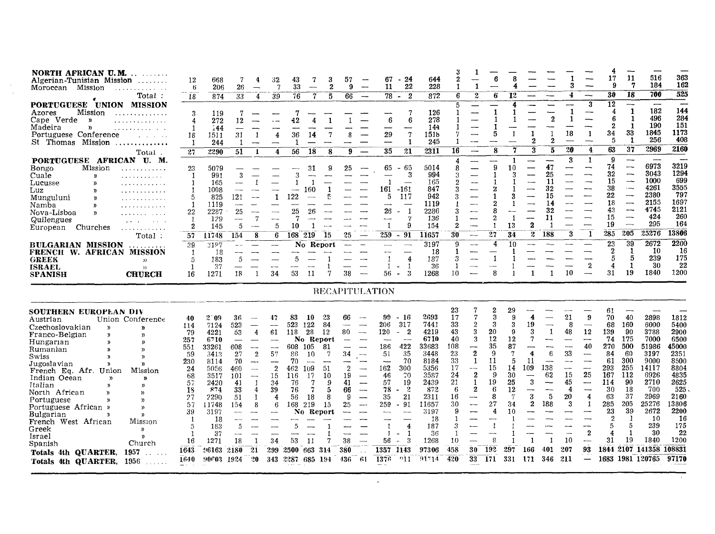| NORTH AFRICAN U.M.<br><b>Contractor</b><br>Algerian-Tunisian Mission<br>Mission<br>Moroccan<br>Total:<br>PORTUGUESE UNION MISSION<br>Mission<br>Azores<br>. <i>.</i> .<br>Cape Verde<br>»<br>. <i>.</i><br>Madeira<br>$\boldsymbol{\lambda}$<br>.<br>Portuguese Conference<br>.<br>St Thomas Mission<br>. <b>. .</b> .<br>Total<br>PORTUGUESE AFRICAN U. M.<br>Mission<br>Bongo<br>.<br>Cuale<br>$\mathbf{v}$<br>$\alpha$ , and $\alpha$ , and $\alpha$ , and $\alpha$ , and $\alpha$<br>Lucusse<br>у,<br>Luz<br>»<br>. <i>.</i> .<br>Munguluni<br>.<br>Namba<br>у<br>Nova-Lisboa<br>$\mathbf{y}$<br>. <i>.</i><br>Quilengues<br>$\sim$ $\sim$<br>European<br>Churches<br>.<br>$\mathtt{Total}$ :                             | 12<br>6<br>18<br>3<br>4<br>1<br>18<br>-1<br>27<br>23<br>-1<br>1<br>-1<br>5<br>1<br>22<br><sup>7</sup><br>$\mathbf 2$<br>57 | 668<br>206<br>874<br>119<br>272<br>144<br>1511<br>244<br>2290<br>5079<br>991<br>165<br>1008<br>825<br>1119<br>2287<br>-129<br>145<br>11748                             | 26<br>33<br>12<br>31<br>-1<br>51<br>3<br>--<br>121<br>$\overline{\phantom{a}}$<br>25<br>----<br>5<br>154                          | 32<br>$\overline{\phantom{0}}$<br>39<br>4<br>-1<br>-1<br>7<br>-<br>$\overline{\phantom{a}}$<br>8                                                                                                               | 7<br>4<br>4<br>122<br>5<br>6                   | 43<br>33<br>$\overline{\phantom{a}}$<br>$\tau$<br>76<br>42<br>36<br>14<br>1<br>56<br>18<br>31<br>3<br>-1<br>-1<br>25<br>26<br>7<br>-----<br>$\mathbf{1}$<br>10<br>168 219<br>No Report                                   | 3<br>2<br>5<br>7<br>8<br>-9<br>15                           | 57<br>9<br>$\overline{\phantom{a}}$<br>66<br>$\overline{\phantom{a}}$<br>R<br>9<br>25<br>25<br>$\overline{\phantom{0}}$                                                                                                                                    | 67<br>11<br>$78 -$<br>6<br>29<br>---<br>35<br>65<br>$\overline{\phantom{0}}$<br>-1<br>161<br>5.<br>---<br>26<br>---<br>1                                           | 24<br>22<br>$\overline{2}$<br>7<br>6<br>$\mathbf{7}$<br>1<br>21<br>$-65$<br>3<br>$\overline{\phantom{a}}$<br>$-161$<br>117<br>-1<br>$\mathbf{7}$<br>9<br>$259 - 91$                                                            | 644<br>228<br>872<br>126<br>278<br>144<br>1518<br>245<br>2311<br>5014<br>994<br>165<br>847<br>942<br>1119<br>2286<br>136<br>154<br>11657<br>3197               | $\overline{2}$<br>6<br>5<br>1<br>16<br>4<br>8<br>2<br>3<br>-1<br>3<br>$\overline{2}$<br>30<br>9                                      | $\boldsymbol{z}$<br>$\overline{\phantom{0}}$<br>$\overline{\phantom{a}}$<br>$\hspace{0.05cm}$                                                                   | 6<br>1<br>1<br>5<br>8<br>9<br>1<br>$\bf{2}$<br>1.<br>2<br>8<br>2<br>27<br>4                          | 12<br>4<br>ា<br>1<br>7<br>10<br>3<br>3<br>---<br>$\mathbf{1}$<br>13<br>34<br>10                                       | 1<br>2<br>3<br>--<br>--<br>---<br>$\mathbf{2}$<br>$\overline{2}$<br>سيسد | $\overline{\phantom{a}}$<br>$\overline{\phantom{0}}$<br>2<br>∽<br>2<br>5<br>47<br>25<br>11<br>32<br>15<br>14<br>32<br>11<br>-1<br>188 | 3<br>4<br>1<br>-1<br>18<br>20<br>3<br>$\overline{\phantom{0}}$<br>---<br>—-<br>3<br>-               | --<br>$\qquad \qquad$<br>3<br>$\mathbf{1}$<br>—<br>$\mathbf{4}$<br>1<br>–∼<br>$\overline{\phantom{a}}$<br>$\mathbf{1}$                                                                                                                     | 17<br>9<br>30<br>12<br>4<br>6<br>2<br>34<br>$\sqrt{5}$<br>63<br>9<br>74<br>32<br>15<br>38<br>22<br>18<br>43<br>15<br>19<br>285<br>23                                                | 11<br>7<br>18<br>$\overline{\phantom{0}}$<br>$\mathbf{1}$<br>$\mathbf{1}$<br>-1<br>33<br>-1<br>37<br>∽<br>---<br>$\overline{\phantom{0}}$<br>$\overline{\phantom{a}}$<br>$\overline{\phantom{a}}$<br>--<br>$\overbrace{\phantom{aaaaa}}^{}$<br>$\overline{\phantom{a}}$<br>$\overline{\phantom{a}}$<br>$\overline{\phantom{0}}$<br>205<br>39 | 516<br>184<br>700<br>182<br>496<br>190<br>1845<br>256<br>2969<br>6973<br>3043<br>1000<br>4261<br>2380<br>2155<br>4745<br>424<br>295<br>25276<br>2672 | 363<br>162<br>$\overline{525}$<br>144<br>284<br>151<br>1173<br>408<br>2160<br>3219<br>1294<br>699<br>3555<br>797<br>1697<br>2121<br>260<br>164<br>13806<br>2200 |
|-------------------------------------------------------------------------------------------------------------------------------------------------------------------------------------------------------------------------------------------------------------------------------------------------------------------------------------------------------------------------------------------------------------------------------------------------------------------------------------------------------------------------------------------------------------------------------------------------------------------------------------------------------------------------------------------------------------------------------|----------------------------------------------------------------------------------------------------------------------------|------------------------------------------------------------------------------------------------------------------------------------------------------------------------|-----------------------------------------------------------------------------------------------------------------------------------|----------------------------------------------------------------------------------------------------------------------------------------------------------------------------------------------------------------|------------------------------------------------|--------------------------------------------------------------------------------------------------------------------------------------------------------------------------------------------------------------------------|-------------------------------------------------------------|------------------------------------------------------------------------------------------------------------------------------------------------------------------------------------------------------------------------------------------------------------|--------------------------------------------------------------------------------------------------------------------------------------------------------------------|--------------------------------------------------------------------------------------------------------------------------------------------------------------------------------------------------------------------------------|----------------------------------------------------------------------------------------------------------------------------------------------------------------|--------------------------------------------------------------------------------------------------------------------------------------|-----------------------------------------------------------------------------------------------------------------------------------------------------------------|------------------------------------------------------------------------------------------------------|-----------------------------------------------------------------------------------------------------------------------|--------------------------------------------------------------------------|---------------------------------------------------------------------------------------------------------------------------------------|-----------------------------------------------------------------------------------------------------|--------------------------------------------------------------------------------------------------------------------------------------------------------------------------------------------------------------------------------------------|-------------------------------------------------------------------------------------------------------------------------------------------------------------------------------------|----------------------------------------------------------------------------------------------------------------------------------------------------------------------------------------------------------------------------------------------------------------------------------------------------------------------------------------------|------------------------------------------------------------------------------------------------------------------------------------------------------|-----------------------------------------------------------------------------------------------------------------------------------------------------------------|
| BULGARIAN MISSION<br>FRENCH W. AFRICAN MISSION<br><b>GREEK</b><br>$\lambda$<br><b>ISRAEL</b><br>)<br><b>CHURCH</b><br><b>SPANISH</b>                                                                                                                                                                                                                                                                                                                                                                                                                                                                                                                                                                                          | 39<br>-1<br>5<br>-1<br>16                                                                                                  | 3197<br>18<br>183<br>37<br>1271                                                                                                                                        | $\mathcal{F}$<br>18                                                                                                               | 34                                                                                                                                                                                                             |                                                | 5<br>53<br>11                                                                                                                                                                                                            |                                                             | 38<br><b>RECAPITULATION</b>                                                                                                                                                                                                                                | -<br>1<br>1<br>56                                                                                                                                                  | $\frac{1}{2}$<br>4<br>-1<br>$\overline{\phantom{a}}$<br>-3<br>$\sim$                                                                                                                                                           | 18<br>187<br>36<br>1268                                                                                                                                        | 3<br>-1<br>10                                                                                                                        |                                                                                                                                                                 | 8                                                                                                    | -1                                                                                                                    | -1                                                                       | 1                                                                                                                                     | —<br>10                                                                                             | $\boldsymbol{2}$                                                                                                                                                                                                                           | $\boldsymbol{2}$<br>5<br>4<br>31                                                                                                                                                    | -1<br>5<br>-1<br>19                                                                                                                                                                                                                                                                                                                          | -10<br>239<br>30<br>1840                                                                                                                             | -16<br>175<br>22<br>1200                                                                                                                                        |
| SOUTHERN EUROPEAN DIV<br>Union Conference<br>Austrian<br>Czechoslovakian<br>$\mathcal{V}$<br>y,<br>Franco-Belgian<br>$\mathcal{Y}$<br>$\mathbf{v}$<br>Hungarian<br>»<br>$\mathbf{v}$<br>Rumanian<br>$\mathcal{V}$<br>Swiss<br>$\mathcal{Y}$<br>Jugoslavian<br>$\mathcal{Y}$<br>y,<br>French Eq. Afr. Union<br>Mission<br>Indian Ocean<br>у<br>»<br>Italian<br>$\mathcal{V}$<br>$\boldsymbol{\mathcal{Y}}$<br>North African<br>$\lambda$<br>$\mathcal{D}$<br>Portuguese<br>у,<br>$\mathcal{Y}$<br>Portuguese African »<br>Bulgarian<br>$\mathcal{V}$<br>Mission<br>French West African<br>Greek<br>$\mathcal{V}$<br>Israel<br>$\mathcal{V}$<br>Church<br>Spanish<br>Totals 4th QUARTER,<br>1957<br>Totals 4th QUARTER,<br>1956 | 40<br>114<br>79<br>257<br>551<br>-59<br>230<br>24<br>68<br>57<br>18<br>27<br>57<br>39<br>5<br>-1<br>16<br>1643<br>1640     | $2^{\degree}09$<br>7124<br>4221<br>6710<br>33261<br>3413<br>8114<br>5056<br>3517<br>2420<br>874<br>2290<br>11748<br>3197<br>-18<br>183<br>37<br>1271<br>96163<br>90603 | 36<br>523<br>53<br>—<br>608<br>27<br>70<br>460<br>101<br>41<br>33<br>51<br>154<br>----<br>سيست<br>-5<br>---<br>18<br>2180<br>1924 | 47<br>$\overline{\phantom{a}}$<br>4<br>61<br>$-$<br>$\bf 2$<br>57<br>$- -$<br>$\overline{2}$<br>15<br>$\sim$<br>34<br>-1<br>4<br>39<br>1<br>4<br>8<br>6<br><b>Allena</b><br>34<br>-1<br>21<br>299<br>20<br>343 | 523<br>118<br>608<br>462<br>116<br>168<br>2500 | 83<br>10<br>122<br>28<br>No Report<br>105<br>86<br>10<br>70<br>$\overline{\phantom{a}}$<br>109<br>17<br>76<br>7<br>-7<br>76<br>56<br>18<br>219<br>No Report<br>$\sqrt{2}$<br>----<br>53<br>11<br>663 314<br>2287 685 194 | 84<br>12<br>81<br>-7<br>51<br>10.<br>9<br>5<br>8<br>15<br>7 | 66<br>$\overline{\phantom{a}}$<br>80<br>$\overline{\phantom{a}}$<br>$\overline{\phantom{a}}$<br>34<br>$\sim$<br>2<br>19<br>41<br>$\overline{\phantom{a}}$<br>66<br>$\overline{\phantom{a}}$<br>9<br>25<br>$\sim$<br>منتبه<br>38<br>—<br>380<br>436.<br>-61 | 99.<br>206<br>120<br>$\overline{\phantom{0}}$<br>186<br>51<br>$\sim$<br>162<br>46<br>57<br>78<br>35<br>259<br>---<br>Ĩ.<br>$\mathbf{I}$<br>56<br>1357 1143<br>1376 | - 16<br>-317<br>-2<br>$\sim$<br>$\sim$<br>422<br>35<br>70<br>300<br>70<br>19<br>$\mathbf{2}$<br>$\overline{\phantom{a}}$<br>21<br>91<br>$\sim$<br>$\overline{\phantom{a}}$<br>4<br>-1<br>$\sim$<br>3<br>$\sim$<br>$^{\circ}11$ | 2693<br>7441<br>4219<br>6710<br>33683<br>3448<br>8184<br>5356<br>3587<br>2439<br>872<br>2311<br>11657<br>3197<br>18<br>187<br>36<br>1268<br>97306<br>$91 - 14$ | 23<br>17<br>33<br>43<br>40<br>108<br>23<br>33<br>17<br>24<br>21<br>6<br>16<br>30<br>9<br>-1<br>3<br>$\mathbf{1}$<br>10<br>458<br>420 | 7<br>2<br>3<br>3<br>--<br>$\boldsymbol{2}$<br>1<br>$\sim$ $\sim$<br>$\boldsymbol{2}$<br>-1<br>$\boldsymbol{2}$<br>-----<br>$\overline{\phantom{a}}$<br>30<br>33 | 2<br>3<br>3<br>20<br>12<br>35<br>-9<br>11<br>15<br>-9<br>19<br>6<br>8<br>27<br>4<br>8<br>-192<br>171 | 29<br>9<br>3<br>9<br>12<br>87<br>$\mathbf 7$<br>5<br>14<br>30<br>25<br>12<br>$\overline{7}$<br>34<br>10<br>297<br>331 | 4<br>19<br>3<br>7<br>4<br>11<br>109<br>3<br>---<br>3<br>2<br>166<br>171  | 1<br>----<br>6<br>138<br>62<br>--<br>5<br>188<br>401<br>346                                                                           | 21<br>8<br>48<br>——<br>$\sim$<br>33<br>مسمد<br>$-$<br>15<br>45<br>4<br>20<br>3<br>10<br>207<br>-211 | 9<br>$\overbrace{\phantom{aaaaa}}$<br>12<br>---<br>40<br>$\overline{\phantom{m}}$<br>$\frac{1}{2}$<br>$\overline{\phantom{a}}$<br>25<br>----<br>$\overline{\phantom{a}}$<br>4<br>-1<br>----<br>$\boldsymbol{2}$<br>93<br>$\hspace{0.05cm}$ | 61<br>70<br>68<br>139<br>74<br>270<br>84<br>61<br>293<br>167<br>114<br>30<br>63<br>285<br>23<br>$\overline{2}$<br>5<br>4<br>31<br>1844 2107 141358 108831<br>1683 1981 120765 97170 | 40<br>160<br>90<br>175<br>500<br>60<br>300<br>255<br>-112<br>90<br>18<br>37<br>205<br>39<br>-1<br>5<br>-1<br>19                                                                                                                                                                                                                              | 2898<br>6000<br>3788<br>7000<br>51986<br>3197<br>9000<br>14117<br>6926<br>2710<br>700<br>2969<br>25276<br>2672<br>-10<br>239<br>30<br>1840           | 1812<br>5400<br>2900<br>6500<br>45000<br>2351<br>8500<br>8804<br>4835<br>2625<br>525<br>2160<br>13806<br>2200<br>-16<br>175<br>22<br>1200                       |

 $\mathcal{L}^{\mathcal{L}}(\mathcal{L}^{\mathcal{L}})$  and  $\mathcal{L}^{\mathcal{L}}(\mathcal{L}^{\mathcal{L}})$  . In the contribution

 $\mathcal{A}$  $\sim$   $\sim$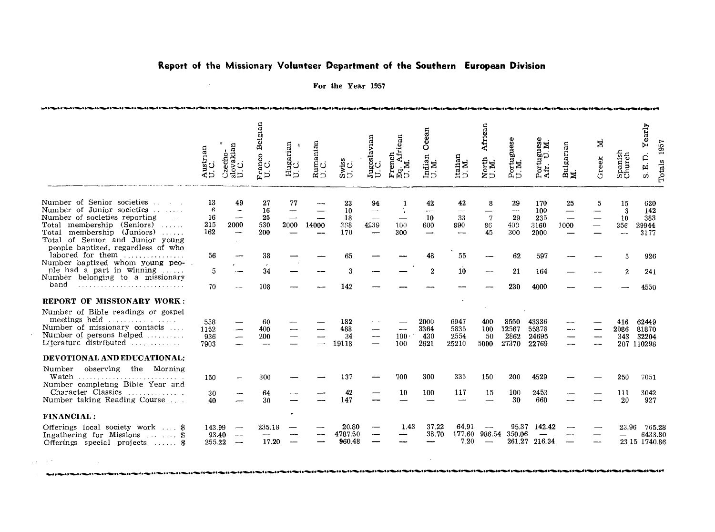## Report of the Missionary Volunteer Department of the Southern European Division

### For the Year 1957

 $\mathcal{L}$ 

 $\sim 10^{-1}$ 

 $\sim$ 

|                                                                                                                                                                                                                                             | Austrian<br>ن               | akian<br>echo<br>ರಿಕ್ಷರ<br>ರಾಜ                        | gian<br>ទួប<br>모그                       | Hugarian<br>U.C. | Rumanian<br>U.C. | Swiss<br>U.C.                | Jugoslavan<br>U.C.<br>⊃ | French<br>Eq. African<br>U. M.<br>∶ੇ≍ | Ocean<br>Indian<br>U.M.                     | $\begin{array}{c} \text{Italian} \\ \text{U.M.} \end{array}$ | African<br>North<br>U.M.           | Portuguese<br>U. M.            | Portuguese<br>Afr. U.M.           | Bulgarian<br>M. | Ħ,<br>Greek | Spanish<br>Church           | Yearly<br>1957<br>S.E.D.<br>Totals    |
|---------------------------------------------------------------------------------------------------------------------------------------------------------------------------------------------------------------------------------------------|-----------------------------|-------------------------------------------------------|-----------------------------------------|------------------|------------------|------------------------------|-------------------------|---------------------------------------|---------------------------------------------|--------------------------------------------------------------|------------------------------------|--------------------------------|-----------------------------------|-----------------|-------------|-----------------------------|---------------------------------------|
| Number of Senior societies<br>and the control of<br>Number of Junior societies<br>Number of societies reporting<br><b>College</b><br>Total membership (Seniors)<br>$\sim$<br>Total membership (Juniors)<br>Total of Senior and Junior young | 13<br>6<br>16<br>215<br>162 | 49<br>$\overline{\phantom{a}}$<br>2000<br>—- <u>.</u> | 27<br>16<br>25<br>530<br>200            | 77<br>2000       | 14000            | 23<br>10<br>18<br>358<br>170 | 94<br>4239              | 100<br>300                            | 42<br>10<br>600<br>$\overline{\phantom{0}}$ | 42<br>33<br>890                                              | 8<br>$\overline{7}$<br>86<br>45    | 29<br>29<br>400<br>300         | 170<br>100<br>235<br>3160<br>2000 | 25<br>1000      | 5           | 15<br>3<br>10<br>356<br>--- | 620<br>142<br>383<br>29944<br>3177    |
| people baptized, regardless of who<br>labored for them<br>Number baptized whom young peo-<br>ple had a part in winning                                                                                                                      | 56<br>5                     |                                                       | 38<br>$\mathcal{L}_{\mathcal{L}}$<br>34 |                  |                  | 65<br>3                      |                         |                                       | 48<br>$\overline{2}$                        | 55<br>10                                                     |                                    | 62<br>21                       | 597<br>164                        |                 |             | 5<br>$\mathbf{2}$           | 926<br>241                            |
| Number belonging to a missionary<br>band                                                                                                                                                                                                    | 70                          |                                                       | 108                                     |                  |                  | 142                          |                         |                                       |                                             |                                                              |                                    | 230                            | 4000                              |                 |             |                             | 4550                                  |
| REPORT OF MISSIONARY WORK:<br>Number of Bible readings or gospel<br>Number of missionary contacts<br>Number of persons helped<br>Literature distributed                                                                                     | 558<br>1152<br>936<br>7903  |                                                       | 60<br>400<br>200                        |                  |                  | 182<br>488<br>34<br>19118    | -----                   | $100 -$<br>100                        | 2000<br>3364<br>430<br>2621                 | 6947<br>5835<br>2554<br>25210                                | 400<br>100<br>50<br>5000           | 8550<br>12567<br>2862<br>27370 | 43336<br>55878<br>24695<br>22769  |                 |             | 416<br>2086<br>343          | 62449<br>81870<br>32204<br>207 110298 |
| DEVOTIONAL AND EDUCATIONAL:<br>observing the Morning<br>Number<br>Watch                                                                                                                                                                     | 150                         |                                                       | 300                                     |                  |                  | 137                          |                         | 700                                   | 300                                         | 335                                                          | 150                                | 200                            | 4529                              |                 |             | 250                         | 7051                                  |
| Number completing Bible Year and<br>Character Classics<br>Number taking Reading Course                                                                                                                                                      | 30<br>40                    |                                                       | 64<br>30                                |                  |                  | 42<br>147                    |                         | 10                                    | 100                                         | 117                                                          | 15                                 | 100<br>30                      | 2453<br>660                       |                 |             | 111<br>20                   | 3042<br>927                           |
| <b>FINANCIAL:</b><br>Offerings local society work  \$<br>Ingathering for Missions   \$<br>Offerings special projects  \$                                                                                                                    | 143.99<br>93.40<br>255.22   | ---                                                   | 235.18<br>17.20                         |                  |                  | 20.80<br>4787.50<br>960.48   |                         | 1.43                                  | 37.22<br>38.70                              | 64.91<br>177.60<br>7.20                                      | $\overline{\phantom{m}}$<br>986.54 | 95.37<br>350.06                | 142.42<br>261.27 216.34           |                 |             | 23.96                       | 765.28<br>6433.80<br>23 15 1740.86    |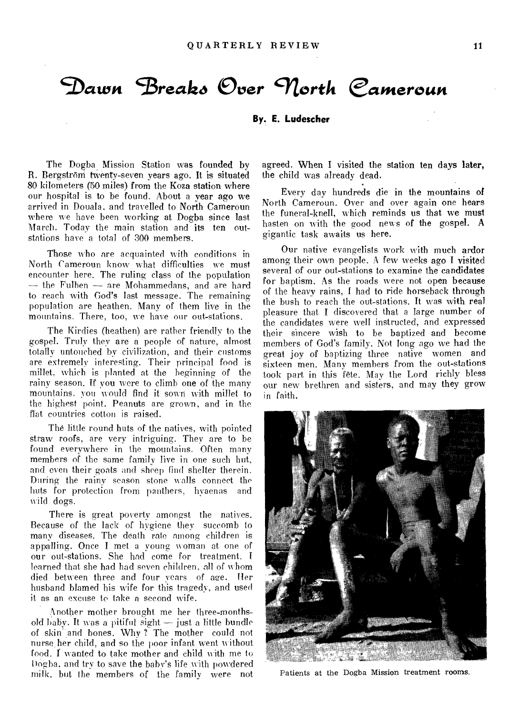# Dawn Breako Over Morth Cameroun

## **By. E. Ludescher**

The Dogba Mission Station was founded by R. Bergström twenty-seven years ago. It is situated 80 kilometers (50 miles) from the Koza station where our hospital is to be found. About a year ago we arrived in Douala, and travelled to North Cameroun where we have been working at Dogba since last March. Today the main station and its ten outstations have a total of 300 members.

Those who are acquainted with conditions in North Cameroun know what difficulties we must encounter here. The ruling class of the population — the Fulben — are Mohammedans, and are hard to reach with God's last message. The remaining population are heathen. Many of them live in the mountains. There, too, we have our out-stations.

The Kirdies (heathen) are rather friendly to the gospel. Truly they are a people of nature, almost totally untouched by civilization, and their customs are extremely interesting. Their principal food is millet, which is planted at the beginning of the rainy season. If you were to climb one of the many mountains, you would find it sown with millet to the highest point. Peanuts are grown, and in the flat countries cotton is raised.

The little round huts of the natives, with pointed straw roofs, are very intriguing. They are to be found everywhere in the mountains. Often many members of the same family live in one such hut, and even their goats and sheep find shelter therein. During the rainy season stone walls connect the huts for protection from panthers, hyaenas and wild dogs.

There is great poverty amongst the natives. Because of the lack of hygiene they succomb to many diseases. The death rate among children is appalling. Once I met a young woman at one of our out-stations. She had come for treatment. learned that she had had seven children, all of whom died between three and four years of age. Her husband blamed his wife for this tragedy, and used it as an excuse to take a second wife.

Another mother brought me her three-monthsold baby. It was a pitiful sight — just a little bundle of skin' and hones. Why ? The mother could not nurse, her child, and so the poor infant went without food. I wanted to take mother and child with me to Dogba, and try to save the baby's life with powdered milk, but the members of the family were not agreed. When I visited the station ten days later, the child was already dead.

Every day hundreds die in the mountains of North Cameroun. Over and over again one hears the funeral-knell, which reminds us that we must hasten on with the good news of the gospel. A gigantic task awaits us here.

Our native evangelists work with much ardor among their own people. A few weeks ago I visited several of our out-stations to examine the candidates for baptism. As the roads were not open because of the heavy rains, I had to ride horseback through the bush to reach the out-stations. It was with real pleasure that I discovered that a large number of the candidates were well instructed, and expressed their sincere wish to be baptized and become members of God's family. Not long ago we had the great joy of baptizing three native women and sixteen men. Many members from the out-stations took part in this fête. May the Lord richly bless our new brethren and sisters, and may they grow in faith.



Patients at the Dogba Mission treatment rooms.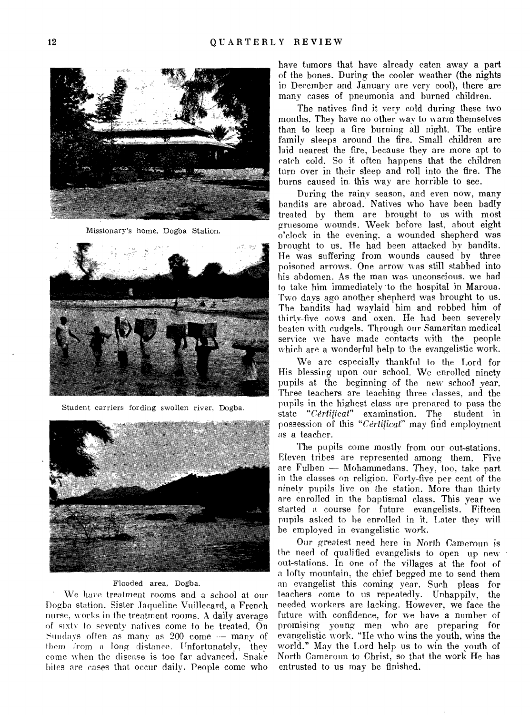

Missionary's home, Dogba Station.



Student carriers fording swollen river, Dogba.



#### Flooded area, Dogba.

We have treatment rooms and a school at our Dogba station. Sister Jaqueline Vnillecard, a French nurse, works in the treatment rooms. A daily average of sixty to seventy natives come to be treated. On Sundays often as many as 200 come — many of them from a long distance. Unfortunately, they come when the disease is too far advanced. Snake bites are cases that occur daily. People come who

have tumors that have already eaten away a part of the bones. During the cooler weather (the nights in December and January are very cool), there are many cases of pneumonia and burned children.

The natives find it very cold during these two months. They have no other way to warm themselves than to keep a fire burning all night. The entire family sleeps around the fire. Small children are laid nearest the fire, because they are more apt to catch cold. So it often happens that the children turn over in their sleep and roll into the fire. The burns caused in. this way are horrible to see.

During the rainy season, and even now, many bandits are abroad. Natives who have been badly treated by them are brought to us with most gruesome wounds. Week before last, about eight o'clock in the evening, a wounded shepherd was brought to us. He had been attacked by bandits. He was suffering from wounds caused by three poisoned arrows. One arrow was still stabbed into his abdomen. As the man was unconscious, we had to take him immediately •to the hospital in Maroua. Two days ago another shepherd was brought to us. The bandits had waylaid him and robbed him of thirty-five cows and oxen. He had been severely beaten with cudgels. Through our Samaritan medical service we have made contacts with the people which are a wonderful help to the evangelistic work.

We are especially thankful to the Lord for His blessing upon our school. We enrolled ninety pupils at the beginning of the new school year. Three teachers are teaching three classes, and the pupils in the highest class are prepared to pass the state *"Certificat"* examination. The student in possession of this *"Certijicat"* may find employment as a teacher.

The pupils come mostly from our out-stations. Eleven tribes are represented among them. Five are Fulben — Mohammedans. They, too, take part in the classes on religion. Forty-five per cent of the ninety pupils live on the station. More than thirty are enrolled in the baptismal class. This year we started a course for future evangelists. Fifteen pupils asked to be enrolled in it. Later they will be employed in evangelistic work.

Our greatest need here in North Cameroun is the need of qualified evangelists to open up new out-stations. In one of the villages at the foot of a lofty mountain, the chief begged me to send them an evangelist this coming year. Such pleas for teachers come to us repeatedly. Unhappily, the needed workers are lacking. However, we face the future with confidence, for we have a number of promising young men who are preparing for evangelistic work. "He who wins the youth, wins the world." May the Lord help us to win the youth of North Cameroun to Christ, so that the work He has entrusted to us may be finished.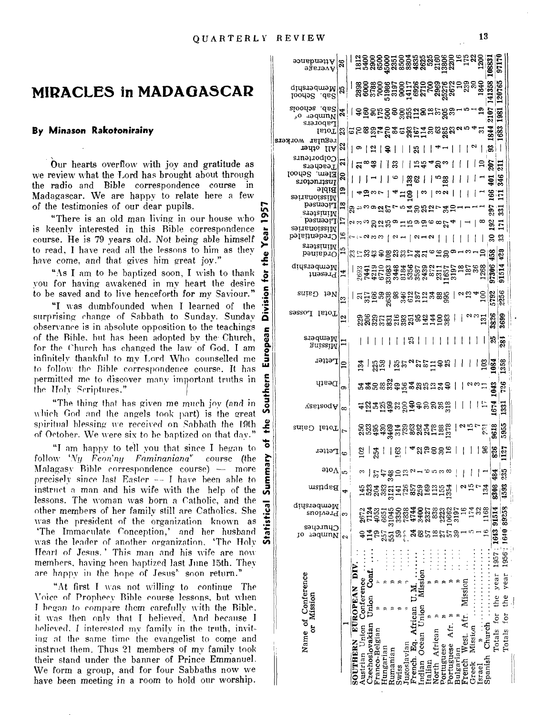ŏ

å

Sou

ō

ary

## **MIDACLES in MADAGASCAR**

### **By Minason Rakotonirainv**

Our hearts overflow with joy and gratitude as we review what the Lord has brought about through the radio and Bible correspondence course in Madagascar. We are happy to relate here a few of the testimonies of our dear pupils.

"There is an old man living in our house who is keenly interested in this Bible correspondence course. He is 79 years old. Not being able himself to read, I have read all the lessons to him as they have come, and that gives him great jov."

"As I am to be bantized soon. I wish to thank vou for having awakened in my heart the desire to be saved and to live henceforth for my Saviour."

"I was dumbfounded when I learned of the surprising change of Sabbath to Sunday. Sunday ã observance is in absolute opposition to the teachings of the Bible, but has been adopted by the Church. for the Church has changed the law of God. I am infinitely thankful to my Lord Who counselled me to follow the Bible correspondence course. It has permitted me to discover many important truths in the Holy Scriptures."

"The thing that has given me much joy (and in which God and the angels took part) is the great spiritual blessing we received on Sabbath the 19th of October. We were six to be baptized on that day."

"I am happy to tell you that since I began to course (the follow 'Ny Feon'ny Faminaniana' Malagasy Bible correspondence course) — more precisely since last Easter -- I have been able to instruct a man and his wife with the help of the ៳៓ lessons. The woman was born a Catholic, and the other members of her family still are Catholics. She was the president of the organization known as 'The Immaculate Conception,' and her husband was the leader of another organization. 'The Holy Heart of Jesus.' This man and his wife are now members, having been baptized last June 15th. They are happy in the hope of Jesus" soon return."

"At first I was not willing to continue The Voice of Prophecy Bible course lessons, but when I began to compare them carefully with the Bible. it was then only that I believed. And because I believed, I interested my family in the truth, inviting at the same time the evangelist to come and instruct them. Thus 21 members of my family took their stand under the banner of Prince Emmanuel. We form a group, and for four Sabbaths now we have been meeting in a room to hold our worship.

| Attendance<br>эзвтэчА                          | 26            |                                            |                   | ដ្ឋិទិន្និទិន្ននីនីនីនីដូនី ដូនីនី            |           |          |         |             |                     |              |         |               |            |            |           |                  |         |                         |                  |                  |  |
|------------------------------------------------|---------------|--------------------------------------------|-------------------|-----------------------------------------------|-----------|----------|---------|-------------|---------------------|--------------|---------|---------------|------------|------------|-----------|------------------|---------|-------------------------|------------------|------------------|--|
| Membership<br>Sab. School                      | 25            |                                            |                   |                                               |           |          |         |             |                     |              |         |               |            |            |           |                  |         |                         |                  | 120765           |  |
| Sloodos .ds2<br>,o aaquin <sub>N</sub>         | 24            | <u>। ទន្ទនួនខ្លួនខ្លួងឧ</u> នងន្ទនួ        |                   |                                               |           |          |         |             |                     |              |         |               |            |            |           |                  |         |                         |                  | <u>581</u>       |  |
| Laborers<br>Total                              |               | ន ៨៩ <b>ឌី</b> ឌីដូឌី៤ខ្លីធ្នូដីខ្លួន ឌីឌី |                   |                                               |           |          |         |             |                     |              |         |               |            |            |           |                  | ೲಀಀ     |                         | 1844             | 1683             |  |
| regular worker:<br>19410 IIA                   | 23            | ု ၈                                        |                   |                                               |           |          |         |             | ၊ ဒေ ၊              |              |         |               |            | $ 4-$      | $\perp$   |                  |         | $\lfloor \cdot \rfloor$ | S,               |                  |  |
| colporteurs<br>гаацэвэт                        | ä             | ∣న్జ                                       |                   |                                               |           |          | 183 I   |             | దిది 4 దిల,         |              |         |               |            |            |           |                  |         | 12.5                    |                  | ្ជ               |  |
| Elem. School<br>s.101011118UT<br>Bible         | $\mathbf{r}$  |                                            |                   |                                               |           |          |         |             | <u>। ଞ୍</u> ଷ ।     |              |         | బజ            |            |            |           |                  |         |                         |                  | 346              |  |
| sətismoissiM<br>Pəsuəər                        |               |                                            |                   | ႕¤ဌက⊳                                         |           |          |         |             | ㅋ 1 1 8 │ ∾ │ ∾ ∞ │ |              |         |               |            |            |           |                  |         |                         | 3                | Ė                |  |
| srətainiM<br>Pəsuəər                           |               | <u>๛๛๛ฎฎ฿๛๚฿๛฿</u> ๛๛฿ <sub>๚</sub>        |                   |                                               |           |          |         |             |                     |              |         |               |            |            |           |                  |         |                         | õ                | 33<br>Ξ          |  |
| sətismoissiM<br>Credentialed<br>sıəisiniM      | $\mathbf{16}$ | $\sim$ :                                   |                   | $\sim$ and $\sim$ $\sim$ $\sim$ $\sim$        |           |          |         |             |                     |              |         |               |            |            |           |                  |         |                         | ಜ                | ్లి              |  |
| mained                                         |               |                                            |                   |                                               |           |          |         |             |                     |              |         |               |            |            |           |                  |         |                         |                  | 420              |  |
| Wembership<br>$\frac{1}{4}$ ໂຮອມ $\frac{1}{4}$ |               |                                            |                   |                                               |           |          |         |             |                     |              |         |               |            |            |           |                  |         |                         |                  | 9151             |  |
| Net Gains                                      | $\mathbf{r}$  |                                            |                   |                                               |           |          |         |             |                     |              |         |               |            |            |           |                  |         |                         | 5792<br>2256     |                  |  |
| Total Losses                                   | $\mathbf{r}$  |                                            |                   | ន្ត្រីន្តន្ត្តីដូចន្ត <u>ីង</u> មាន ។ ដូចន្តី |           |          |         |             |                     |              |         |               |            |            |           |                  |         | $\frac{2}{3}$           | 3826             | 3699             |  |
| Members<br>SuissiM                             |               |                                            |                   |                                               |           |          |         |             | । ଇ ।               |              |         | -1            |            |            |           |                  |         |                         |                  | $rac{35}{281}$   |  |
| lLetter                                        | ≘             |                                            |                   | 88   82   82   82                             |           |          |         |             |                     |              |         |               |            |            |           |                  |         | ខ្ន                     |                  | 1984<br>1358     |  |
| Death                                          | Φ             |                                            |                   | ង្គងួននីងទីនឹងខ្លួនដូន                        |           |          |         |             |                     |              |         |               |            |            |           |                  |         | $\frac{1}{2}$ and       | <b>943</b>       | 726              |  |
| $\sqrt{2}$ verteors $A^{\infty}$               |               |                                            |                   | 포럼교법효항영품#٣٣₩                                  |           |          |         |             |                     |              |         |               |            |            |           |                  |         |                         | 1674             | 1331             |  |
| Iotal Gains                                    |               |                                            |                   |                                               |           |          |         |             |                     |              |         |               |            |            |           |                  |         |                         | 9618             | 5955             |  |
| $\sigma \Gamma$ etter                          |               |                                            | $\Xi$             | $\frac{12}{2}$                                |           |          | ಜಿ      |             |                     |              |         |               |            | "ଷ୍ଟ୍ରେକ୍ସ |           | ł                |         |                         | $\frac{18}{36}$  | 127              |  |
| ခ $10\Lambda  $ ာ                              |               |                                            |                   | $1.548$ 53<br>$-5.09$ $-5.09$ $-1.50$ $-1.5$  |           |          |         |             |                     |              |         |               |            |            |           |                  | $\pm 1$ |                         | । – इं           | 235              |  |
| Baptism                                        |               |                                            |                   | esas sautes essentes                          |           |          |         |             |                     |              |         |               |            |            |           |                  |         |                         | 53               | 159              |  |
| Nembership<br>$_{\rm spionon}$                 |               |                                            |                   | ក្នុងនិក្ខ<br>ឧដុទ្ធនិ                        |           |          |         |             |                     |              |         |               |            |            |           |                  |         | 1168                    |                  |                  |  |
| ຮອບຸວມານຸງ<br>aəquinN<br>ļО                    | 2             |                                            |                   |                                               |           |          | ្លួក និ | ξ           |                     |              | ĩ٥      |               |            |            |           |                  |         |                         | 1957: 1643 91514 | 1956: 1640 89258 |  |
|                                                |               |                                            |                   |                                               |           |          |         |             |                     |              |         |               |            |            |           |                  |         |                         |                  |                  |  |
|                                                |               |                                            |                   |                                               |           |          |         |             |                     | Mission      |         |               |            |            |           |                  |         |                         |                  | year             |  |
|                                                |               |                                            | <b>Conference</b> |                                               |           |          |         |             |                     |              |         |               |            |            |           |                  |         |                         | the year         | the<br>E         |  |
| Name of Conference<br>or Mission               |               | EUROPEAN                                   |                   |                                               |           |          |         |             |                     | Union        |         |               |            |            |           |                  |         |                         |                  |                  |  |
|                                                |               |                                            |                   |                                               |           |          |         |             |                     |              |         |               |            | Afr.       |           |                  |         | Church                  | Totals for       | Totals for       |  |
|                                                |               |                                            |                   |                                               |           |          |         |             |                     |              |         |               |            |            |           |                  | Mission |                         |                  |                  |  |
|                                                |               | SOUTHERN                                   | Austrian Union    | Czechoslovakian<br>Franco-Belgian             | Hungariar | Rumanian |         | Jugoslavian | French. Eq. African | Indian Ocean | Italian | North African | Portuguese | Portuguese | Bulgarian | French West. Afr |         | Spanish                 |                  |                  |  |
|                                                |               |                                            |                   |                                               |           |          | Swiss   |             |                     |              |         |               |            |            |           |                  | Greek   | Israel                  |                  |                  |  |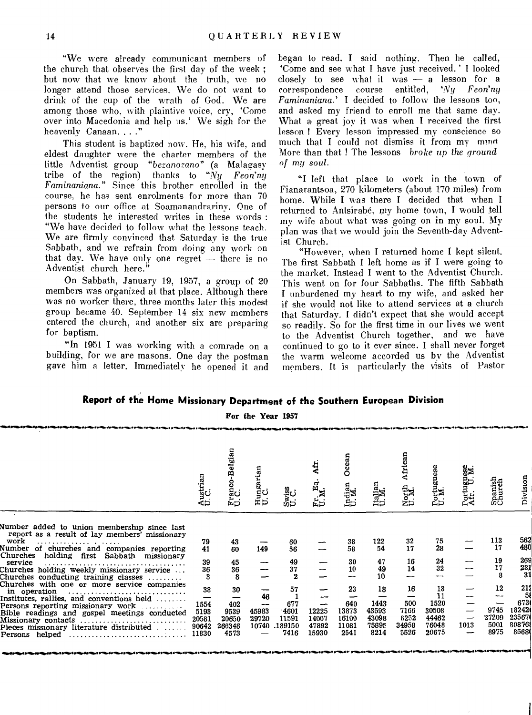"We were already communicant members of the church that observes the first day of the week ; but now that we know about the truth, we no longer attend those services. We do not want to drink of the cup of the wrath of God. We are among those who, with plaintive voice, cry, 'Come over into Macedonia and help us.' We sigh for the heavenly Canaan...."

This student is baptized now. He, his wife, and eldest daughter were the charter members of the little Adventist group *"bezanozano"* (a Malagasy tribe of the region) thanks to *"iVy Feon'ny*  Faminaniana." Since this brother enrolled in the course, he has sent enrolments for more than 70 persons to our office at Soamanandrariny. One of the students he interested writes in these words : "We have decided to follow what the lessons teach. We are firmly convinced that Saturday is the true Sabbath, and we refrain from doing any work on that day. We have only one regret  $-$  there is no Adventist church here."

On Sabbath, January 19, 1957, a group of 20 members was organized at that place. Although there was no worker there, three months later this modest group became 40. September 14 six new members entered the church, and another six are preparing for baptism.

"In 1951 I was working with a comrade on a building, for we are masons. One day the postman gave him a letter. Immediately he opened it and

began to read. I said nothing. Then he called, `Come and see what I have just received. ' I looked closely to see what it was — a lesson for a correspondence course entitled,  $'Ny$  Feon'ny correspondence course entitled, `Ny *Feon'ny Faminaniana.'* I decided to follow the lessons too, and asked my friend to enroll me that same day. What a great joy it was when I received the first lesson ! Every lesson impressed my conscience so much that I could not dismiss it from my mind More than that ! The lessons *broke up the ground of my soul.* 

"I left that place to work in the town of Fianarantsoa, 270 kilometers (about 170 miles) from home. While I was there I decided that when I returned to Antsirabe, my home town, I would tell my wife about what was going on in my soul. My plan was that we would join the Seventh-day Adventist Church.

"However, when I returned home I kept silent. The first Sabbath I left home as if I were going to the market. Instead I went to the Adventist Church. This went on for four Sabbaths. The fifth Sabbath I unburdened my heart to my wife, and asked her if she would not like to attend services at a church that Saturday. I didn't expect that she would accept so readily. So for the first time in our lives we went to the Adventist Church together, and we have continued to go to it ever since. I shall never forget the warm welcome accorded us by the Adventist members. It is particularly the visits of Pastor

## **Report of the Home Missionary Department of the Southern European Division**

For the Year 1957

|                                                                                                                                                                                                                                                                                                     | Austrian<br>U.C.                              | Franco-Belgian<br>U. C.                      | Hungarian<br>U.C.             | Swiss<br>U.C.                                | £<br>$\mathbf{E}^{\mathbf{q}}$ .<br>Ěp | Ocean<br>Indian<br>U.M.                      | Italian<br>U.M.                               | African<br>$_{\rm U.M.}^{\rm North}$            | Portuguese<br>U.M.                                   | Portuguese<br>Afr. U.M. | Spanish<br>Church                   | Diviston                                                |
|-----------------------------------------------------------------------------------------------------------------------------------------------------------------------------------------------------------------------------------------------------------------------------------------------------|-----------------------------------------------|----------------------------------------------|-------------------------------|----------------------------------------------|----------------------------------------|----------------------------------------------|-----------------------------------------------|-------------------------------------------------|------------------------------------------------------|-------------------------|-------------------------------------|---------------------------------------------------------|
| Number added to union membership since last<br>report as a result of lay members' missionary<br>work<br>Number of churches and companies reporting<br>Churches<br>holding first Sabbath missionary<br>service<br>Churches holding weekly missionary service<br>Churches conducting training classes | 79<br>41<br>39<br>$\frac{36}{3}$              | 43<br>60<br>45<br>$\frac{36}{8}$             | 149                           | 60<br>56<br>49<br>37<br>$\mathbf{2}$         |                                        | 38<br>58<br>30<br>10                         | 122<br>54<br>47<br>49<br>10                   | 32<br>17<br>16<br>14                            | 75<br>28<br>24<br>32                                 | ---                     | 113<br>17<br>19<br>17<br>8          | 562<br>480<br>269<br>231<br>31                          |
| Churches with one or more service companies<br>in operation<br>Institutes, rallies, and conventions held<br>Persons reporting missionary work<br>Bible readings and gospel meetings conducted<br>Missionary contacts<br>Pieces missionary literature distributed<br>Persons helped                  | 38<br>1554<br>5193<br>20581<br>90642<br>11830 | 30<br>402<br>9539<br>20650<br>266348<br>4573 | 46<br>45983<br>29720<br>10740 | 57<br>677<br>4601<br>11591<br>189150<br>7416 | 12225<br>14007<br>47892<br>15930       | 23<br>640<br>13873<br>16100<br>11081<br>2541 | 18<br>1443<br>43593<br>43098<br>75895<br>8214 | 16<br>-<br>500<br>7166<br>8252<br>34958<br>5526 | 18<br>11<br>1520<br>30508<br>44462<br>76048<br>20675 | -<br>1013               | 12<br>9745<br>27209<br>5001<br>8975 | 212<br>51<br>6731<br>182420<br>23567<br>808761<br>85680 |
|                                                                                                                                                                                                                                                                                                     |                                               |                                              |                               |                                              |                                        |                                              |                                               |                                                 |                                                      |                         |                                     |                                                         |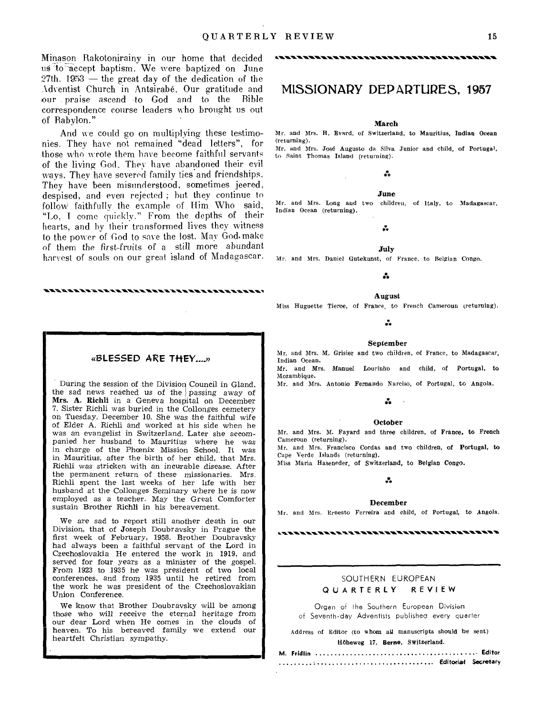Minason Rakotonirainv in our home that decided us to accept baptism. We were baptized on June 27th. 1953 — the great day of the dedication of the Adventist Church in Antsirabe. Our gratitude and our praise ascend to God and to the Bible correspondence course leaders who brought us out of Babylon."

And we could go on multiplying these testimonies. They have not remained "dead letters", for those who wrote them have become faithful servants of the living God. They have abandoned their evil ways. They have severed family ties and friendships. They have been misunderstood, sometimes jeered, despised, and even rejected ; hut they continue to  $follow$  faithfully the example of  $Him$  Who said. "Lo, I come quickly." From the depths of their hearts, and by their transformed lives they witness to the power of God to save the lost. May God. make of them the first-fruits of a still more abundant harvest of souls on our great island of Madagascar.

## MISSIONARY DEPARTURES, 1957

,,,,,,,,,,,,,,,,,,,,,,,,,,,,,,,,

#### March

Mr. and Mrs. H. Evard, of Switzerland, to Mauritius, Indian Ocean (returning).

Mr. and Mrs. Jose Augusto da Silva Junior and child, of Portugal, to Saint Thomas Island (returning).

#### Ä.

#### June

Mr. and Mrs. Long and two children, of Italy, to Madagascar, Indian Ocean (returning).

 $\mathbf{x}$ 

#### July

Mr. and Mrs. Daniel Gutekunst, of France, to Belgian Congo.

#### .14

#### August

Miss Huguette Tierce, of France, to French Cameroun (returning).

#### ÷.

#### September

Mr. and Mrs. M. Grisier and two children, of France, to Madagascar, Indian Ocean. Mr. and Mrs. Manuel Lourinho and child, of Portugal, to Mozambique.

Mr. and Mrs. Antonio Fernando Narciso, of Portugal, to Angola.

#### л.

#### October

Mr. and Mrs. M. Fayard and three children, of France, to French Cameroun (returning). Mr. and Mrs. Francisco Cordas and two children, of Portugal, to

Cape Verde Islands (returning).

Miss Maria Haseneder, of Switzerland, to Belgian Congo.

#### \*\*

#### December

Mr. and Mrs. Ernesto Ferreira and child, of Portugal, to Angola.

#### ............................

## SOUTHERN EUROPEAN QUARTERLY REVIEW

Organ of the Southern European Division of Seventh-day Adventists published every quarter

Address of Editor (to whom all manuscripts should be sent) Hôheweg 17, Berne, Switzerland.

### **«BLESSED ARE TftEY....»**

\*\*\*\*\*\*\*\*\*\*\*\*\*\*\*\*\*\*\*\*\*\*\*\*\*\*\*\*\*\*\*\*

During the session of the Divisior. Council in Gland. the sad news reached us of the passing away of Mrs. A. Richli in a Geneva hospital on December 7. Sister Richli was buried in the Collonges cemetery on Tuesday, December 10. She was the faithful wife of Elder A. Richli and worked at his side when he was an evangelist in Switzerland. Later she accompanied her husband to Mauritius where he was in charge of the Phoenix Mission School. It was in Mauritius, after the birth of her child, that Mrs. Richli was stricken with an incurable disease. After the permanent return of these missionaries. Mrs. Richli spent the last weeks of her life with her husband at the Collonges Seminary where he is now employed as a teacher. May the Great Comforter sustain Brother Richli in his bereavement.

We are sad to report still another death in our Division, that of Joseph Doubraysky in Prague the first week of February, 1958. Brother Doubraysky had always been a faithful servant of the Lord in Czechoslovakia He entered the work in 1919, and served for four years as a minister of the gospel. From 1923 to 1935 he was president of two local conferences, and from 1935 until he retired from the work he was president of the Czechoslovakian Union Conference.

We know that Brother Doubraysky will be among those who will receive the eternal heritage from our dear Lord when He comes in the clouds of heaven. To his bereaved family we extend our heartfelt Christian sympathy.